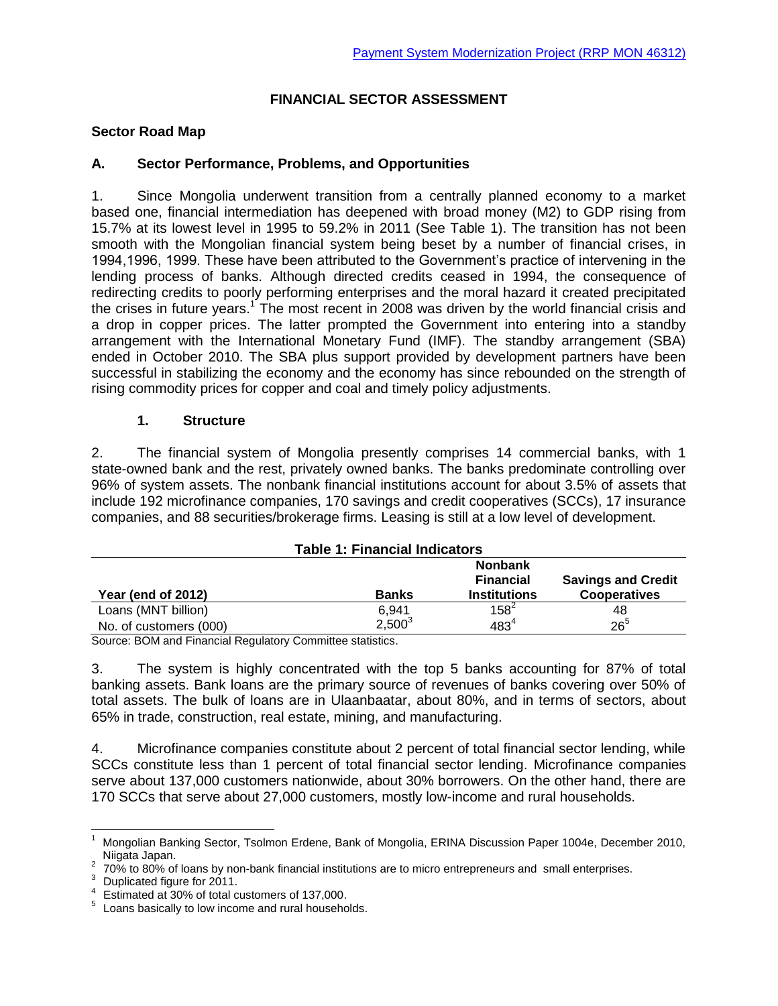### **FINANCIAL SECTOR ASSESSMENT**

### **Sector Road Map**

### **A. Sector Performance, Problems, and Opportunities**

1. Since Mongolia underwent transition from a centrally planned economy to a market based one, financial intermediation has deepened with broad money (M2) to GDP rising from 15.7% at its lowest level in 1995 to 59.2% in 2011 (See Table 1). The transition has not been smooth with the Mongolian financial system being beset by a number of financial crises, in 1994,1996, 1999. These have been attributed to the Government's practice of intervening in the lending process of banks. Although directed credits ceased in 1994, the consequence of redirecting credits to poorly performing enterprises and the moral hazard it created precipitated the crises in future years.<sup>1</sup> The most recent in 2008 was driven by the world financial crisis and a drop in copper prices. The latter prompted the Government into entering into a standby arrangement with the International Monetary Fund (IMF). The standby arrangement (SBA) ended in October 2010. The SBA plus support provided by development partners have been successful in stabilizing the economy and the economy has since rebounded on the strength of rising commodity prices for copper and coal and timely policy adjustments.

#### **1. Structure**

2. The financial system of Mongolia presently comprises 14 commercial banks, with 1 state-owned bank and the rest, privately owned banks. The banks predominate controlling over 96% of system assets. The nonbank financial institutions account for about 3.5% of assets that include 192 microfinance companies, 170 savings and credit cooperatives (SCCs), 17 insurance companies, and 88 securities/brokerage firms. Leasing is still at a low level of development.

| <b>Table 1: Financial Indicators</b> |              |                                                           |                                                  |
|--------------------------------------|--------------|-----------------------------------------------------------|--------------------------------------------------|
| Year (end of 2012)                   | <b>Banks</b> | <b>Nonbank</b><br><b>Financial</b><br><b>Institutions</b> | <b>Savings and Credit</b><br><b>Cooperatives</b> |
| Loans (MNT billion)                  | 6.941        | $158^2$                                                   | 48                                               |
| No. of customers (000)               | $2,500^3$    | $483^4$                                                   | $26^{5}$                                         |

Source: BOM and Financial Regulatory Committee statistics.

3. The system is highly concentrated with the top 5 banks accounting for 87% of total banking assets. Bank loans are the primary source of revenues of banks covering over 50% of total assets. The bulk of loans are in Ulaanbaatar, about 80%, and in terms of sectors, about 65% in trade, construction, real estate, mining, and manufacturing.

4. Microfinance companies constitute about 2 percent of total financial sector lending, while SCCs constitute less than 1 percent of total financial sector lending. Microfinance companies serve about 137,000 customers nationwide, about 30% borrowers. On the other hand, there are 170 SCCs that serve about 27,000 customers, mostly low-income and rural households.

 $\mathbf{1}$ <sup>1</sup> Mongolian Banking Sector, Tsolmon Erdene, Bank of Mongolia, ERINA Discussion Paper 1004e, December 2010, Niigata Japan.

 $2$  70% to 80% of loans by non-bank financial institutions are to micro entrepreneurs and small enterprises.

<sup>&</sup>lt;sup>3</sup> Duplicated figure for  $2011$ .

Estimated at 30% of total customers of 137,000.

<sup>5</sup> Loans basically to low income and rural households.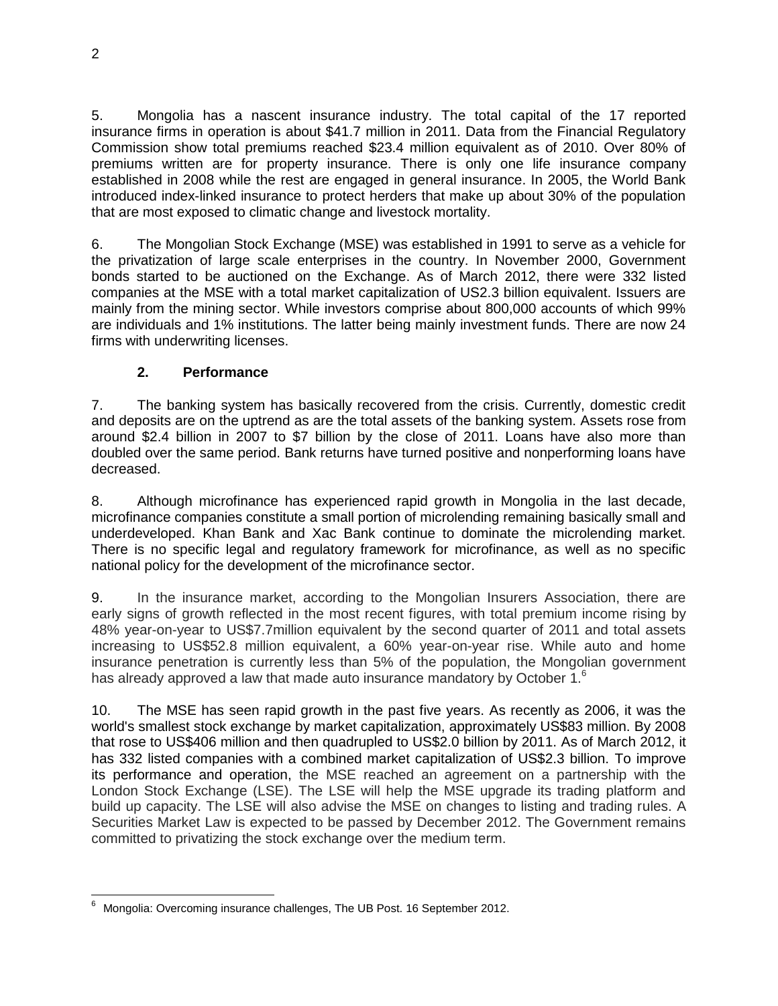5. Mongolia has a nascent insurance industry. The total capital of the 17 reported insurance firms in operation is about \$41.7 million in 2011. Data from the Financial Regulatory Commission show total premiums reached \$23.4 million equivalent as of 2010. Over 80% of premiums written are for property insurance. There is only one life insurance company established in 2008 while the rest are engaged in general insurance. In 2005, the World Bank introduced index-linked insurance to protect herders that make up about 30% of the population that are most exposed to climatic change and livestock mortality.

6. The Mongolian Stock Exchange (MSE) was established in 1991 to serve as a vehicle for the privatization of large scale enterprises in the country. In November 2000, Government bonds started to be auctioned on the Exchange. As of March 2012, there were 332 listed companies at the MSE with a total market capitalization of US2.3 billion equivalent. Issuers are mainly from the mining sector. While investors comprise about 800,000 accounts of which 99% are individuals and 1% institutions. The latter being mainly investment funds. There are now 24 firms with underwriting licenses.

# **2. Performance**

7. The banking system has basically recovered from the crisis. Currently, domestic credit and deposits are on the uptrend as are the total assets of the banking system. Assets rose from around \$2.4 billion in 2007 to \$7 billion by the close of 2011. Loans have also more than doubled over the same period. Bank returns have turned positive and nonperforming loans have decreased.

8. Although microfinance has experienced rapid growth in Mongolia in the last decade, microfinance companies constitute a small portion of microlending remaining basically small and underdeveloped. Khan Bank and Xac Bank continue to dominate the microlending market. There is no specific legal and regulatory framework for microfinance, as well as no specific national policy for the development of the microfinance sector.

9. In the insurance market, according to the Mongolian Insurers Association, there are early signs of growth reflected in the most recent figures, with total premium income rising by 48% year-on-year to US\$7.7million equivalent by the second quarter of 2011 and total assets increasing to US\$52.8 million equivalent, a 60% year-on-year rise. While auto and home insurance penetration is currently less than 5% of the population, the Mongolian government has already approved a law that made auto insurance mandatory by October 1.<sup>6</sup>

10. The MSE has seen rapid growth in the past five years. As recently as 2006, it was the world's smallest stock exchange by market capitalization, approximately US\$83 million. By 2008 that rose to US\$406 million and then quadrupled to US\$2.0 billion by 2011. As of March 2012, it has 332 listed companies with a combined market capitalization of US\$2.3 billion. To improve its performance and operation, the MSE reached an agreement on a partnership with the London Stock Exchange (LSE). The LSE will help the MSE upgrade its trading platform and build up capacity. The LSE will also advise the MSE on changes to listing and trading rules. A Securities Market Law is expected to be passed by December 2012. The Government remains committed to privatizing the stock exchange over the medium term.

 Mongolia: Overcoming insurance challenges, The UB Post. 16 September 2012.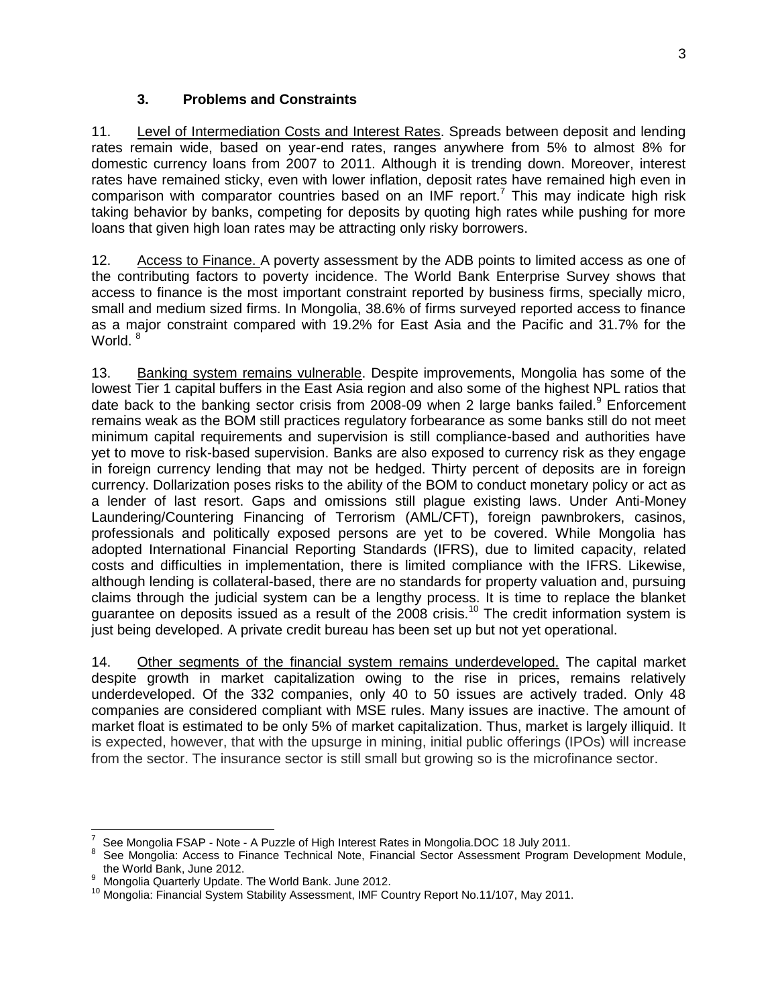## **3. Problems and Constraints**

11. Level of Intermediation Costs and Interest Rates. Spreads between deposit and lending rates remain wide, based on year-end rates, ranges anywhere from 5% to almost 8% for domestic currency loans from 2007 to 2011. Although it is trending down. Moreover, interest rates have remained sticky, even with lower inflation, deposit rates have remained high even in comparison with comparator countries based on an IMF report.<sup>7</sup> This may indicate high risk taking behavior by banks, competing for deposits by quoting high rates while pushing for more loans that given high loan rates may be attracting only risky borrowers.

12. Access to Finance. A poverty assessment by the ADB points to limited access as one of the contributing factors to poverty incidence. The World Bank Enterprise Survey shows that access to finance is the most important constraint reported by business firms, specially micro, small and medium sized firms. In Mongolia, 38.6% of firms surveyed reported access to finance as a major constraint compared with 19.2% for East Asia and the Pacific and 31.7% for the World.<sup>8</sup>

13. Banking system remains vulnerable. Despite improvements, Mongolia has some of the lowest Tier 1 capital buffers in the East Asia region and also some of the highest NPL ratios that date back to the banking sector crisis from 2008-09 when 2 large banks failed.<sup>9</sup> Enforcement remains weak as the BOM still practices regulatory forbearance as some banks still do not meet minimum capital requirements and supervision is still compliance-based and authorities have yet to move to risk-based supervision. Banks are also exposed to currency risk as they engage in foreign currency lending that may not be hedged. Thirty percent of deposits are in foreign currency. Dollarization poses risks to the ability of the BOM to conduct monetary policy or act as a lender of last resort. Gaps and omissions still plague existing laws. Under Anti-Money Laundering/Countering Financing of Terrorism (AML/CFT), foreign pawnbrokers, casinos, professionals and politically exposed persons are yet to be covered. While Mongolia has adopted International Financial Reporting Standards (IFRS), due to limited capacity, related costs and difficulties in implementation, there is limited compliance with the IFRS. Likewise, although lending is collateral-based, there are no standards for property valuation and, pursuing claims through the judicial system can be a lengthy process. It is time to replace the blanket guarantee on deposits issued as a result of the  $2008$  crisis.<sup>10</sup> The credit information system is just being developed. A private credit bureau has been set up but not yet operational.

14. Other segments of the financial system remains underdeveloped. The capital market despite growth in market capitalization owing to the rise in prices, remains relatively underdeveloped. Of the 332 companies, only 40 to 50 issues are actively traded. Only 48 companies are considered compliant with MSE rules. Many issues are inactive. The amount of market float is estimated to be only 5% of market capitalization. Thus, market is largely illiquid. It is expected, however, that with the upsurge in mining, initial public offerings (IPOs) will increase from the sector. The insurance sector is still small but growing so is the microfinance sector.

 7 See Mongolia FSAP - Note - A Puzzle of High Interest Rates in Mongolia.DOC 18 July 2011.

<sup>8</sup> See Mongolia: Access to Finance Technical Note, Financial Sector Assessment Program Development Module, the World Bank, June 2012.

Mongolia Quarterly Update. The World Bank. June 2012.

<sup>&</sup>lt;sup>10</sup> Mongolia: Financial System Stability Assessment, IMF Country Report No.11/107, May 2011.